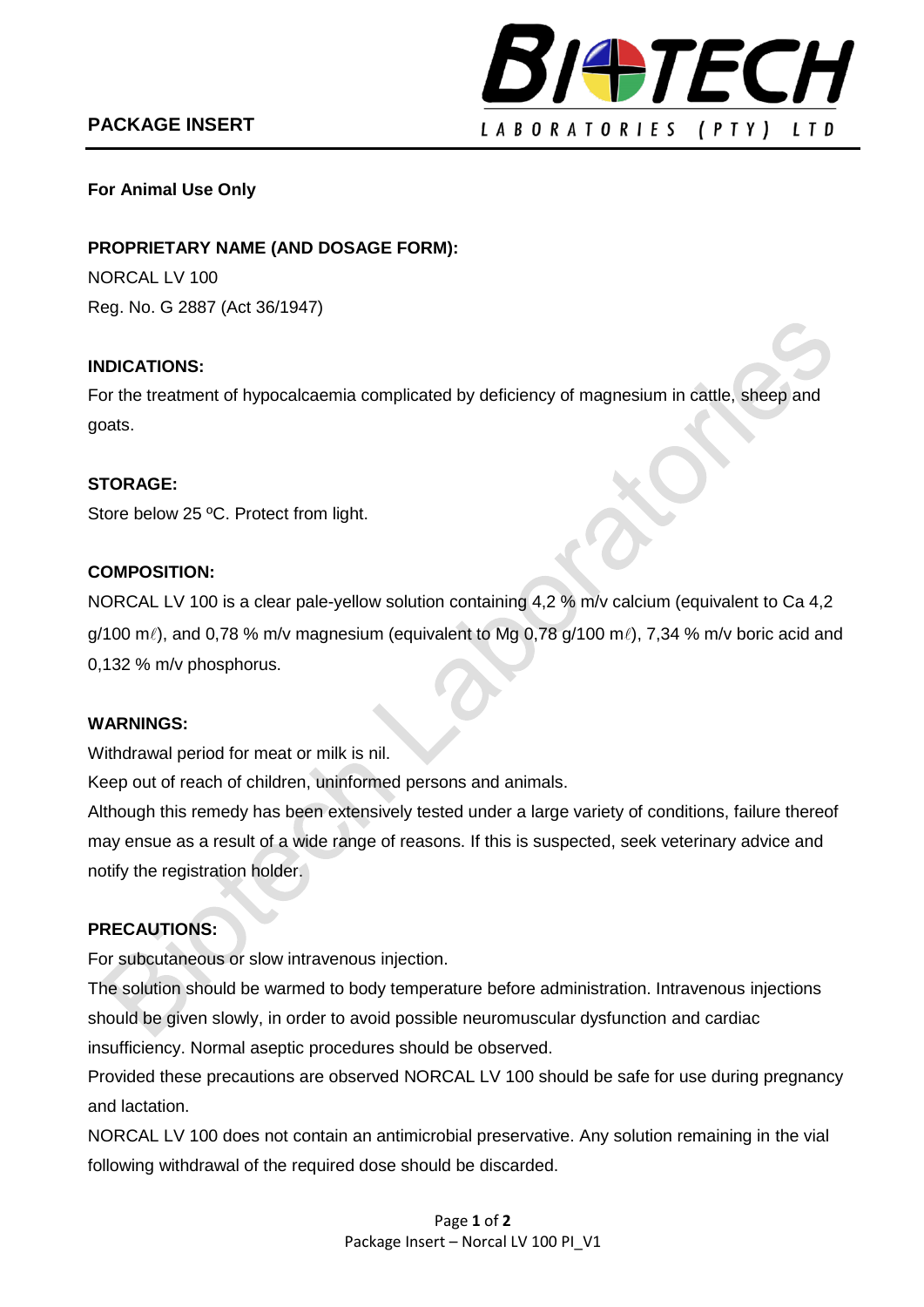# **PACKAGE INSERT**



## **For Animal Use Only**

## **PROPRIETARY NAME (AND DOSAGE FORM):**

NORCAL LV 100 Reg. No. G 2887 (Act 36/1947)

## **INDICATIONS:**

For the treatment of hypocalcaemia complicated by deficiency of magnesium in cattle, sheep and goats.

## **STORAGE:**

Store below 25 ºC. Protect from light.

## **COMPOSITION:**

NORCAL LV 100 is a clear pale-yellow solution containing 4,2 % m/v calcium (equivalent to Ca 4,2  $g/100$  m $\ell$ ), and 0,78 % m/v magnesium (equivalent to Mg 0,78  $g/100$  m $\ell$ ), 7,34 % m/v boric acid and 0,132 % m/v phosphorus.

#### **WARNINGS:**

Withdrawal period for meat or milk is nil.

Keep out of reach of children, uninformed persons and animals.

Although this remedy has been extensively tested under a large variety of conditions, failure thereof may ensue as a result of a wide range of reasons. If this is suspected, seek veterinary advice and notify the registration holder.

## **PRECAUTIONS:**

For subcutaneous or slow intravenous injection.

The solution should be warmed to body temperature before administration. Intravenous injections should be given slowly, in order to avoid possible neuromuscular dysfunction and cardiac insufficiency. Normal aseptic procedures should be observed.

Provided these precautions are observed NORCAL LV 100 should be safe for use during pregnancy and lactation.

NORCAL LV 100 does not contain an antimicrobial preservative. Any solution remaining in the vial following withdrawal of the required dose should be discarded.